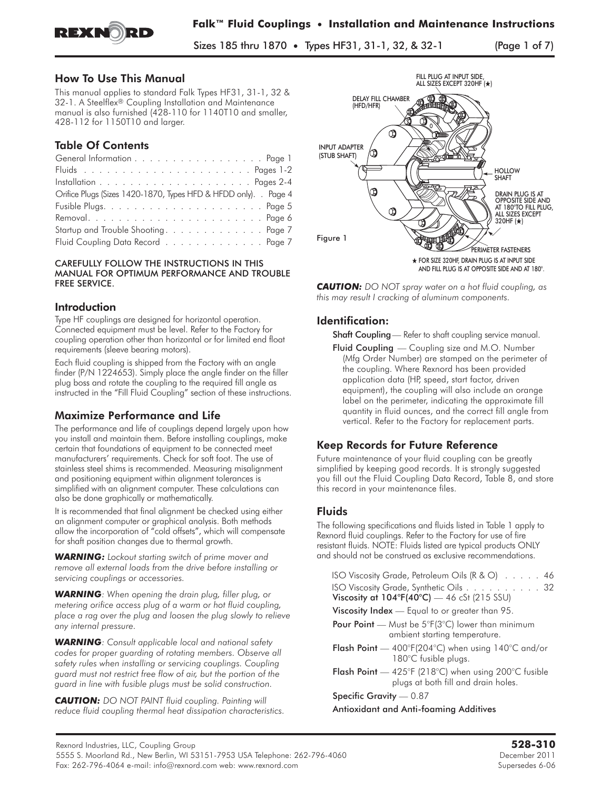

Sizes 185 thru 1870 • Types HF31, 31-1, 32, & 32-1 (Page 1 of 7)

## How To Use This Manual

This manual applies to standard Falk Types HF31, 31-1, 32 & 32-1. A Steelflex® Coupling Installation and Maintenance manual is also furnished (428-110 for 1140T10 and smaller, 428-112 for 1150T10 and larger.

# Table Of Contents

| General Information Page 1                                       |  |
|------------------------------------------------------------------|--|
|                                                                  |  |
|                                                                  |  |
| Orifice Plugs (Sizes 1420-1870, Types HFD & HFDD only). . Page 4 |  |
|                                                                  |  |
|                                                                  |  |
| Startup and Trouble Shooting. Page 7                             |  |
| Fluid Coupling Data Record Page 7                                |  |

#### CAREFULLY FOLLOW THE INSTRUCTIONS IN THIS MANUAL FOR OPTIMUM PERFORMANCE AND TROUBLE FREE SERVICE.

### **Introduction**

Type HF couplings are designed for horizontal operation. Connected equipment must be level. Refer to the Factory for coupling operation other than horizontal or for limited end float requirements (sleeve bearing motors).

Each fluid coupling is shipped from the Factory with an angle finder (P/N 1224653). Simply place the angle finder on the filler plug boss and rotate the coupling to the required fill angle as instructed in the "Fill Fluid Coupling" section of these instructions.

### Maximize P**erformance and Life**

The performance and life of couplings depend largely upon how you install and maintain them. Before installing couplings, make certain that foundations of equipment to be connected meet manufacturers' requirements. Check for soft foot. The use of stainless steel shims is recommended. Measuring misalignment and positioning equipment within alignment tolerances is simplified with an alignment computer. These calculations can also be done graphically or mathematically.

It is recommended that final alignment be checked using either an alignment computer or graphical analysis. Both methods allow the incorporation of "cold offsets", which will compensate for shaft position changes due to thermal growth.

*WARNING: Lockout starting switch of prime mover and remove all external loads from the drive before installing or servicing couplings or accessories.*

*WARNING: When opening the drain plug, filler plug, or metering orifice access plug of a warm or hot fluid coupling, place a rag over the plug and loosen the plug slowly to relieve any internal pressure.*

*WARNING: Consult applicable local and national safety codes for proper guarding of rotating members. Observe all safety rules when installing or servicing couplings. Coupling guard must not restrict free flow of air, but the portion of the guard in line with fusible plugs must be solid construction.*

*CAUTION: DO NOT PAINT fluid coupling. Painting will reduce fluid coupling thermal heat dissipation characteristics.*



*CAUTION: DO NOT spray water on a hot fluid coupling, as this may result I cracking of aluminum components.*

# **Identification:**

Shaft Coupling - Refer to shaft coupling service manual.

Fluid Coupling — Coupling size and M.O. Number (Mfg Order Number) are stamped on the perimeter of the coupling. Where Rexnord has been provided application data (HP, speed, start factor, driven equipment), the coupling will also include an orange label on the perimeter, indicating the approximate fill quantity in fluid ounces, and the correct fill angle from vertical. Refer to the Factory for replacement parts.

# Keep Records for Future Reference

Future maintenance of your fluid coupling can be greatly simplified by keeping good records. It is strongly suggested you fill out the Fluid Coupling Data Record, Table 8, and store this record in your maintenance files.

# **Fluids**

The following specifications and fluids listed in Table 1 apply to Rexnord fluid couplings. Refer to the Factory for use of fire resistant fluids. NOTE: Fluids listed are typical products ONLY and should not be construed as exclusive recommendations.

| ISO Viscosity Grade, Petroleum Oils (R & O) 46                                              |
|---------------------------------------------------------------------------------------------|
| ISO Viscosity Grade, Synthetic Oils 32                                                      |
| Viscosity at $104^{\circ}F(40^{\circ}C)$ — 46 cSt (215 SSU)                                 |
| <b>Viscosity Index</b> — Equal to or greater than 95.                                       |
| Pour Point - Must be 5°F(3°C) lower than minimum                                            |
| ambient starting temperature.                                                               |
| <b>Flash Point</b> $-$ 400°F(204°C) when using 140°C and/or<br>180°C fusible plugs.         |
| Flash Point - 425°F (218°C) when using 200°C fusible<br>plugs at both fill and drain holes. |

Specific Gravity - 0.87

Antioxidant and Anti-foaming Additives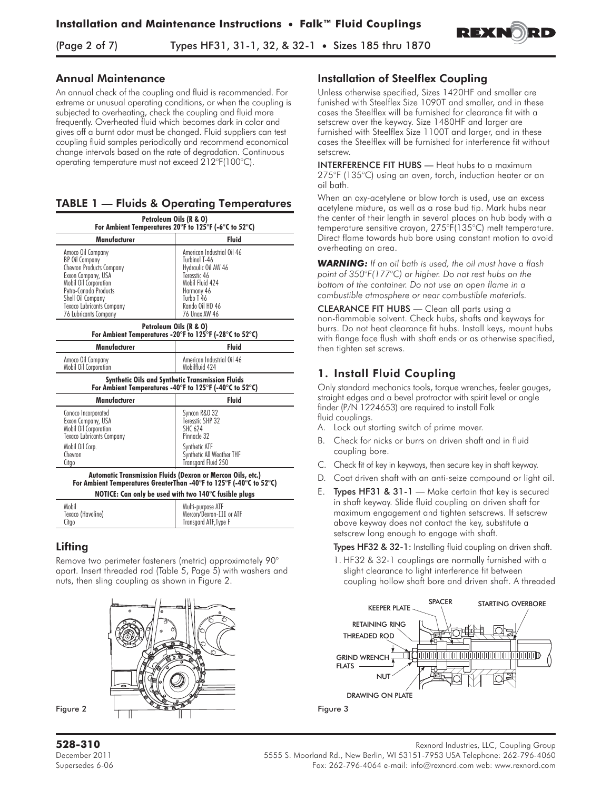(Page 2 of 7) Types HF31, 31-1, 32, & 32-1 • Sizes 185 thru 1870



### **Annual Maintenance**

An annual check of the coupling and fluid is recommended. For extreme or unusual operating conditions, or when the coupling is subjected to overheating, check the coupling and fluid more frequently. Overheated fluid which becomes dark in color and gives off a burnt odor must be changed. Fluid suppliers can test coupling fluid samples periodically and recommend economical change intervals based on the rate of degradation. Continuous operating temperature must not exceed 212°F(100°C).

# TABLE 1 — Fluids & Operating Temperatures

| Petroleum Oils (R & O)<br>For Ambient Temperatures 20°F to 125°F (-6°C to 52°C)                                                                                                                                                  |                                                                                                                                                                              |  |  |  |
|----------------------------------------------------------------------------------------------------------------------------------------------------------------------------------------------------------------------------------|------------------------------------------------------------------------------------------------------------------------------------------------------------------------------|--|--|--|
| Manufacturer<br>Fluid                                                                                                                                                                                                            |                                                                                                                                                                              |  |  |  |
| Amoco Oil Company<br><b>BP Oil Company</b><br><b>Chevron Products Company</b><br>Exxon Company, USA<br>Mobil Oil Corporation<br>Petro-Canada Products<br>Shell Oil Company<br>Texaco Lubricants Company<br>76 Lubricants Company | American Industrial Oil 46<br>Turbinol T-46<br>Hydraulic Oil AW 46<br>Teresstic 46<br>Mobil Fluid 424<br>Harmony 46<br>Turbo T 46<br>Rando Oil HD 46<br><b>76 Unax AW 46</b> |  |  |  |
| Petroleum Oils (R & O)                                                                                                                                                                                                           |                                                                                                                                                                              |  |  |  |

# Petroleum Oils (R & O) For Ambient Temperatures -20°F to 125°F (-28°C to 52°C)

| Manufacturer                               | <b>Fluid</b>                                 |  |  |  |
|--------------------------------------------|----------------------------------------------|--|--|--|
| Amoco Oil Company<br>Mobil Oil Corporation | American Industrial Oil 46<br>Mobilfluid 424 |  |  |  |

#### Synthetic Oils and Synthetic Transmission Fluids For Ambient Temperatures -40°F to 125°F (-40°C to 52°C)

| Manufacturer                                                                                           | <b>Fluid</b>                                                       |  |  |  |  |
|--------------------------------------------------------------------------------------------------------|--------------------------------------------------------------------|--|--|--|--|
| Conoco Incorporated<br>Exxon Company, USA<br>Mobil Oil Corporation<br><b>Texaco Lubricants Company</b> | Syncon R&O 32<br>Teresstic SHP 32<br><b>SHC 624</b><br>Pinnacle 32 |  |  |  |  |
| Mobil Oil Corp.<br>Chevron<br>Citgo                                                                    | Synthetic ATF<br>Synthetic All Weather THF<br>Transgard Fluid 250  |  |  |  |  |
|                                                                                                        |                                                                    |  |  |  |  |

#### Automatic Transmission Fluids (Dexron or Mercon Oils, etc.) For Ambient Temperatures GreaterThan -40°F to 125°F (-40°C to 52°C) NOTICE: Can only be used with two 140°C fusible plugs

| <b>NOTICE:</b> Can only be used with two 140 C tusible plugs |                          |  |  |  |
|--------------------------------------------------------------|--------------------------|--|--|--|
| Mobil                                                        | Multi-purpose ATF        |  |  |  |
| Texaco (Havoline)                                            | Mercon/Dexron-III or ATF |  |  |  |
| Citgo                                                        | Transgard ATF, Type F    |  |  |  |

# **Lifting**

Mobil Oil

Remove two perimeter fasteners (metric) approximately 90° apart. Insert threaded rod (Table 5, Page 5) with washers and nuts, then sling coupling as shown in Figure 2.



Figure 2

### **Installation** of Steelflex Coupling

Unless otherwise specified, Sizes 1420HF and smaller are funished with Steelflex Size 1090T and smaller, and in these cases the Steelflex will be furnished for clearance fit with a setscrew over the keyway. Size 1480HF and larger are furnished with Steelflex Size 1100T and larger, and in these cases the Steelflex will be furnished for interference fit without setscrew.

INTERFERENCE FIT HUBS — Heat hubs to a maximum 275°F (135°C) using an oven, torch, induction heater or an oil bath.

When an oxy-acetylene or blow torch is used, use an excess acetylene mixture, as well as a rose bud tip. Mark hubs near the center of their length in several places on hub body with a temperature sensitive crayon, 275°F(135°C) melt temperature. Direct flame towards hub bore using constant motion to avoid overheating an area.

*WARNING: If an oil bath is used, the oil must have a flash point of 350°F(177°C) or higher. Do not rest hubs on the bottom of the container. Do not use an open flame in a combustible atmosphere or near combustible materials.*

CLEARANCE FIT HUBS — Clean all parts using a non-flammable solvent. Check hubs, shafts and keyways for burrs. Do not heat clearance fit hubs. Install keys, mount hubs with flange face flush with shaft ends or as otherwise specified, then tighten set screws.

# 1. Install Fluid Coupling

Only standard mechanics tools, torque wrenches, feeler gauges, straight edges and a bevel protractor with spirit level or angle finder (P/N 1224653) are required to install Falk fluid couplings.

- A. Lock out starting switch of prime mover.
- B. Check for nicks or burrs on driven shaft and in fluid coupling bore.
- C. Check fit of key in keyways, then secure key in shaft keyway.
- D. Coat driven shaft with an anti-seize compound or light oil.
- E. Types HF31 & 31-1 Make certain that key is secured in shaft keyway. Slide fluid coupling on driven shaft for maximum engagement and tighten setscrews. If setscrew above keyway does not contact the key, substitute a setscrew long enough to engage with shaft.

Types HF32 & 32-1: Installing fluid coupling on driven shaft.

1. HF32 & 32-1 couplings are normally furnished with a slight clearance to light interference fit between coupling hollow shaft bore and driven shaft. A threaded

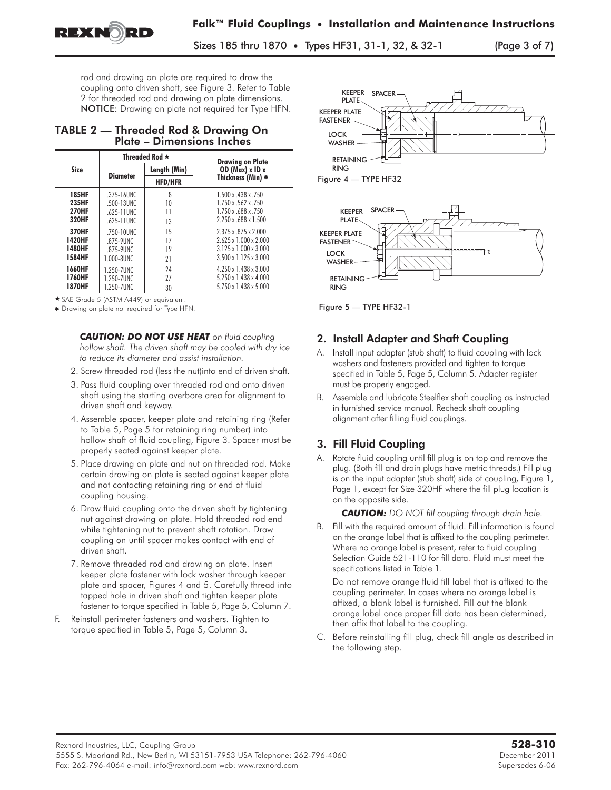

Sizes 185 thru 1870 • Types HF31, 31-1, 32, & 32-1 (Page 3 of 7)

rod and drawing on plate are required to draw the coupling onto driven shaft, see Figure 3. Refer to Table 2 for threaded rod and drawing on plate dimensions. NOTICE: Drawing on plate not required for Type HFN.

### TABLE 2 — Threaded Rod & Drawing On Plate – Dimensions Inches

|               |                 | Threaded Rod $\star$ | <b>Drawing on Plate</b>           |  |  |
|---------------|-----------------|----------------------|-----------------------------------|--|--|
| <b>Size</b>   |                 | Length (Min)         | OD ( $Max$ ) x ID x               |  |  |
|               | <b>Diameter</b> | <b>HFD/HFR</b>       | Thickness (Min) *                 |  |  |
| <b>185HF</b>  | .375-16UNC      | 8                    | 1.500 x .438 x .750               |  |  |
| 235HF         | .500-13UNC      | 10                   | 1.750 x .562 x .750               |  |  |
| <b>270HF</b>  | .625-11UNC      | 11                   | 1.750 x .688 x .750               |  |  |
| <b>320HF</b>  | .625-11UNC      | 13                   | 2.250 x .688 x 1.500              |  |  |
| 370HF         | .750-10UNC      | 15                   | 2.375 x .875 x 2.000              |  |  |
| 1420HF        | .875-9UNC       | 17                   | $2.625 \times 1.000 \times 2.000$ |  |  |
| 1480HF        | .875-9UNC       | 19                   | $3.125 \times 1.000 \times 3.000$ |  |  |
| 1584HF        | 1.000-8UNC      | 21                   | $3.500 \times 1.125 \times 3.000$ |  |  |
| 1660HF        | 1.250-7UNC      | 24                   | $4.250 \times 1.438 \times 3.000$ |  |  |
| 1760HF        | 1.250-7UNC      | 27                   | 5.250 x 1.438 x 4.000             |  |  |
| <b>1870HF</b> | 1.250-7UNC      | 30                   | 5.750 x 1.438 x 5.000             |  |  |

- SAE Grade 5 (ASTM A449) or equivalent.

\* Drawing on plate not required for Type HFN.

*CAUTION: DO NOT USE HEAT on fluid coupling hollow shaft. The driven shaft may be cooled with dry ice to reduce its diameter and assist installation.*

- 2. Screw threaded rod (less the nut)into end of driven shaft.
- 3. Pass fluid coupling over threaded rod and onto driven shaft using the starting overbore area for alignment to driven shaft and keyway.
- 4. Assemble spacer, keeper plate and retaining ring (Refer to Table 5, Page 5 for retaining ring number) into hollow shaft of fluid coupling, Figure 3. Spacer must be properly seated against keeper plate.
- 5. Place drawing on plate and nut on threaded rod. Make certain drawing on plate is seated against keeper plate and not contacting retaining ring or end of fluid coupling housing.
- 6. Draw fluid coupling onto the driven shaft by tightening nut against drawing on plate. Hold threaded rod end while tightening nut to prevent shaft rotation. Draw coupling on until spacer makes contact with end of driven shaft.
- 7. Remove threaded rod and drawing on plate. Insert keeper plate fastener with lock washer through keeper plate and spacer, Figures 4 and 5. Carefully thread into tapped hole in driven shaft and tighten keeper plate fastener to torque specified in Table 5, Page 5, Column 7.
- F. Reinstall perimeter fasteners and washers. Tighten to torque specified in Table 5, Page 5, Column 3.





Figure 5 — TYPE HF32-1

# 2. Install Adapter and Shaft Coupling

- A. Install input adapter (stub shaft) to fluid coupling with lock washers and fasteners provided and tighten to torque specified in Table 5, Page 5, Column 5. Adapter register must be properly engaged.
- B. Assemble and lubricate Steelflex shaft coupling as instructed in furnished service manual. Recheck shaft coupling alignment after filling fluid couplings.

# 3. Fill Fluid Coupling

A. Rotate fluid coupling until fill plug is on top and remove the plug. (Both fill and drain plugs have metric threads.) Fill plug is on the input adapter (stub shaft) side of coupling, Figure 1, Page 1, except for Size 320HF where the fill plug location is on the opposite side.

*CAUTION: DO NOT fill coupling through drain hole.*

B. Fill with the required amount of fluid. Fill information is found on the orange label that is affixed to the coupling perimeter. Where no orange label is present, refer to fluid coupling Selection Guide 521-110 for fill data. Fluid must meet the specifications listed in Table 1.

Do not remove orange fluid fill label that is affixed to the coupling perimeter. In cases where no orange label is affixed, a blank label is furnished. Fill out the blank orange label once proper fill data has been determined, then affix that label to the coupling.

C. Before reinstalling fill plug, check fill angle as described in the following step.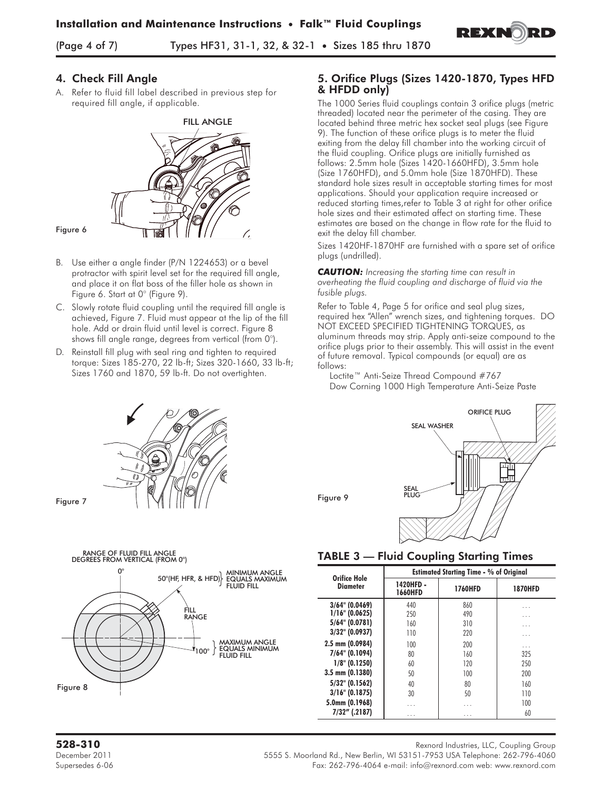

(Page 4 of 7) Types HF31, 31-1, 32, & 32-1 • Sizes 185 thru 1870

### 4. Check Fill Angle

A. Refer to fluid fill label described in previous step for required fill angle, if applicable.



#### Figure 6

- B. Use either a angle finder (P/N 1224653) or a bevel protractor with spirit level set for the required fill angle, and place it on flat boss of the filler hole as shown in Figure 6. Start at 0° (Figure 9).
- C. Slowly rotate fluid coupling until the required fill angle is achieved, Figure 7. Fluid must appear at the lip of the fill hole. Add or drain fluid until level is correct. Figure 8 shows fill angle range, degrees from vertical (from 0°).
- Reinstall fill plug with seal ring and tighten to required torque: Sizes 185-270, 22 lb-ft; Sizes 320-1660, 33 lb-ft; Sizes 1760 and 1870, 59 lb-ft. Do not overtighten.



Figure 7



### 5. Orifice Plugs (Sizes 1420-1870, Types HFD & HFDD only)

The 1000 Series fluid couplings contain 3 orifice plugs (metric threaded) located near the perimeter of the casing. They are located behind three metric hex socket seal plugs (see Figure 9). The function of these orifice plugs is to meter the fluid exiting from the delay fill chamber into the working circuit of the fluid coupling. Orifice plugs are initially furnished as follows: 2.5mm hole (Sizes 1420-1660HFD), 3.5mm hole (Size 1760HFD), and 5.0mm hole (Size 1870HFD). These standard hole sizes result in acceptable starting times for most applications. Should your application require increased or reduced starting times,refer to Table 3 at right for other orifice hole sizes and their estimated affect on starting time. These estimates are based on the change in flow rate for the fluid to exit the delay fill chamber.

Sizes 1420HF-1870HF are furnished with a spare set of orifice plugs (undrilled).

*CAUTION: Increasing the starting time can result in overheating the fluid coupling and discharge of fluid via the fusible plugs.*

Refer to Table 4, Page 5 for orifice and seal plug sizes, required hex "Allen" wrench sizes, and tightening torques. DO NOT EXCEED SPECIFIED TIGHTENING TORQUES, as aluminum threads may strip. Apply anti-seize compound to the orifice plugs prior to their assembly. This will assist in the event of future removal. Typical compounds (or equal) are as follows:

Loctite™ Anti-Seize Thread Compound #767 Dow Corning 1000 High Temperature Anti-Seize Paste



#### TABLE 3 — Fluid Coupling Starting Times

| Orifice Hole        | <b>Estimated Starting Time - % of Original</b> |                |                |  |  |
|---------------------|------------------------------------------------|----------------|----------------|--|--|
| Diameter            | 1420HFD -<br><b>1660HFD</b>                    | <b>1760HFD</b> | <b>1870HFD</b> |  |  |
| $3/64$ " (0.0469)   | 440                                            | 860            | .              |  |  |
| $1/16$ " (0.0625)   | 250                                            | 490            | .              |  |  |
| 5/64" (0.0781)      | 160                                            | 310            | .              |  |  |
| $3/32$ " (0.0937)   | 110                                            | 220            | .              |  |  |
| $2.5$ mm $(0.0984)$ | 100                                            | 200            | .              |  |  |
| 7/64" (0.1094)      | 80                                             | 160            | 325            |  |  |
| $1/8$ " (0.1250)    | 60                                             | 120            | 250            |  |  |
| $3.5$ mm $(0.1380)$ | 50                                             | 100            | 200            |  |  |
| 5/32" (0.1562)      | 40                                             | 80             | 160            |  |  |
| $3/16$ " (0.1875)   | 30                                             | 50             | 110            |  |  |
| 5.0mm (0.1968)      | .                                              | .              | 100            |  |  |
| $7/32''$ (.2187)    | .                                              | .              | 60             |  |  |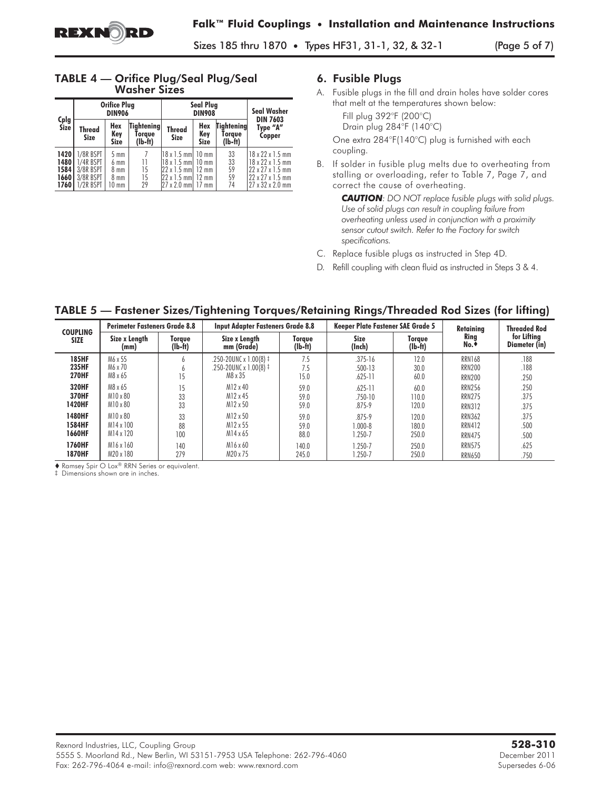Sizes 185 thru 1870 • Types HF31, 31-1, 32, & 32-1 (Page 5 of 7)

### TABLE 4 — Orifice Plug/Seal Plug/Seal Washer Sizes

|                                          |                                                               | <b>Orifice Plug</b><br><b>DIN906</b>            |                                   | <b>Seal Plug</b><br><b>DIN908</b>                                                                                                             |                           |                                          | <b>Seal Washer</b>                                                                                                       |
|------------------------------------------|---------------------------------------------------------------|-------------------------------------------------|-----------------------------------|-----------------------------------------------------------------------------------------------------------------------------------------------|---------------------------|------------------------------------------|--------------------------------------------------------------------------------------------------------------------------|
| Cplg<br>Size                             | <b>Thread</b><br><b>Size</b>                                  | Hex<br>Key<br><b>Size</b>                       | Tightening<br>Torave<br>$(Ib-ft)$ | <b>Thread</b><br><b>Size</b>                                                                                                                  | Hex<br>Key<br><b>Size</b> | <b>Tightening</b><br>Torave<br>$(lb-ft)$ | <b>DIN 7603</b><br>Type "A"<br>Copper                                                                                    |
| 1420<br>1480<br>1584 L<br>1660<br>1760 I | 1/8R BSPT<br>1/4R BSPT<br>3/8R BSPT<br>3/8R BSPT<br>1/2R BSPT | $5 \text{ mm}$<br>6 mm<br>8 mm<br>8 mm<br>10 mm | 11<br>15<br>15<br>29              | 18 x 1.5 mml 10 mm<br>$18 \times 1.5$ mm $\vert$ 10 mm<br>$22 \times 1.5$ mm $\vert$ 12 mm<br>22 x 1.5 mm 12 mm<br>$27 \times 2.0$ mm $17$ mm |                           | 33<br>33<br>59<br>59<br>74               | 18 x 22 x 1.5 mm<br>18 x 22 x 1.5 mm<br>22 x 27 x 1.5 mm<br>$22 \times 27 \times 1.5$ mm<br>$27 \times 32 \times 2.0$ mm |

### 6. Fusible Plugs

A. Fusible plugs in the fill and drain holes have solder cores that melt at the temperatures shown below:

Fill plug 392°F (200°C) Drain plug 284°F (140°C)

One extra 284°F(140°C) plug is furnished with each coupling.

B. If solder in fusible plug melts due to overheating from stalling or overloading, refer to Table 7, Page 7, and correct the cause of overheating.

> *CAUTION: DO NOT replace fusible plugs with solid plugs. Use of solid plugs can result in coupling failure from overheating unless used in conjunction with a proximity sensor cutout switch. Refer to the Factory for switch specifications.*

- C. Replace fusible plugs as instructed in Step 4D.
- D. Refill coupling with clean fluid as instructed in Steps 3 & 4.

TABLE 5 — Fastener Sizes/Tightening Torques/Retaining Rings/Threaded Rod Sizes (for lifting)

| <b>COUPLING</b>                              |                                 | <b>Input Adapter Fasteners Grade 8.8</b><br><b>Keeper Plate Fastener SAE Grade 5</b><br><b>Perimeter Fasteners Grade 8.8</b> |                                                                      |                      | Retainina                                 | <b>Threaded Rod</b>    |                                                 |                      |
|----------------------------------------------|---------------------------------|------------------------------------------------------------------------------------------------------------------------------|----------------------------------------------------------------------|----------------------|-------------------------------------------|------------------------|-------------------------------------------------|----------------------|
| <b>SIZE</b>                                  | Size x Lenath                   | Torque                                                                                                                       | Size x Lenath                                                        | Torque               | <b>Size</b>                               | Torque                 | Ring                                            | for Lifting          |
|                                              | (mm)                            | (lb-ft)                                                                                                                      | mm (Grade)                                                           | $(Ib-ft)$            | (Inch)                                    | $(Ib-ft)$              | No.*                                            | Diameter (in)        |
| <b>185HF</b><br><b>235HF</b><br><b>270HF</b> | M6 x 55<br>M6 x 70<br>M8 x 65   | n<br>n                                                                                                                       | .250-20UNC x 1.00(8) $\ddagger$<br>.250-20UNC x 1.00(8) ‡<br>M8 x 35 | 7.5<br>7.5<br>15.0   | $.375 - 16$<br>$.500 - 13$<br>$.625 - 11$ | 12.0<br>30.0<br>60.0   | <b>RRN168</b><br><b>RRN200</b><br><b>RRN200</b> | .188<br>.188<br>.250 |
| 320HF<br>370HF<br><b>1420HF</b>              | M8 x 65<br>M10 x 80<br>M10 x 80 | 33<br>33                                                                                                                     | $M12 \times 40$<br>M12 x 45<br>M12 x 50                              | 59.0<br>59.0<br>59.0 | $.625 - 11$<br>.750-10<br>$.875 - 9$      | 60.0<br>110.0<br>120.0 | <b>RRN256</b><br><b>RRN275</b><br><b>RRN312</b> | .250<br>.375<br>.375 |
| <b>1480HF</b>                                | M10 x 80                        | 33                                                                                                                           | M12 x 50                                                             | 59.0                 | $.875 - 9$                                | 120.0                  | <b>RRN362</b>                                   | .375                 |
| <b>1584HF</b>                                | M14 x 100                       | 88                                                                                                                           | M12 x 55                                                             | 59.0                 | $1.000 - 8$                               | 180.0                  | <b>RRN412</b>                                   | .500                 |
| 1660HF                                       | M14 x 120                       | 100                                                                                                                          | M <sub>14</sub> x 65                                                 | 88.0                 | 1.250-7                                   | 250.0                  | <b>RRN475</b>                                   | .500                 |
| 1760HF                                       | M16 x 160                       | 140                                                                                                                          | $M16 \times 60$                                                      | 140.0                | 1.250-7                                   | 250.0                  | <b>RRN575</b>                                   | .625                 |
| <b>1870HF</b>                                | M20 x 180                       | 279                                                                                                                          | M20 x 75                                                             | 245.0                | 1.250-7                                   | 250.0                  | <b>RRN650</b>                                   | .750                 |

◆ Ramsey Spir O Lox® RRN Series or equivalent.

‡ Dimensions shown are in inches.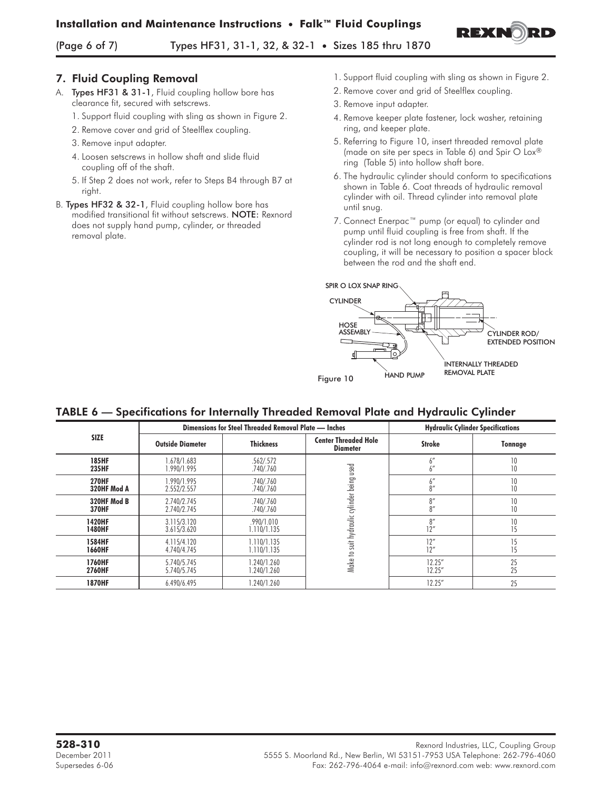

(Page 6 of 7) Types HF31, 31-1, 32, & 32-1 • Sizes 185 thru 1870

## 7. Fluid Coupling Removal

- A. Types HF31 & 31-1, Fluid coupling hollow bore has clearance fit, secured with setscrews.
	- 1. Support fluid coupling with sling as shown in Figure 2.
	- 2. Remove cover and grid of Steelflex coupling.
	- 3. Remove input adapter.
	- 4. Loosen setscrews in hollow shaft and slide fluid coupling off of the shaft.
	- 5. If Step 2 does not work, refer to Steps B4 through B7 at right.
- B. Types HF32 & 32-1, Fluid coupling hollow bore has modified transitional fit without setscrews. NOTE: Rexnord does not supply hand pump, cylinder, or threaded removal plate.
- 1. Support fluid coupling with sling as shown in Figure 2.
- 2. Remove cover and grid of Steelflex coupling.
- 3. Remove input adapter.
- 4. Remove keeper plate fastener, lock washer, retaining ring, and keeper plate.
- 5. Referring to Figure 10, insert threaded removal plate (made on site per specs in Table 6) and Spir O Lox® ring (Table 5) into hollow shaft bore.
- 6. The hydraulic cylinder should conform to specifications shown in Table 6. Coat threads of hydraulic removal cylinder with oil. Thread cylinder into removal plate until snug.
- 7. Connect Enerpac™ pump (or equal) to cylinder and pump until fluid coupling is free from shaft. If the cylinder rod is not long enough to completely remove coupling, it will be necessary to position a spacer block between the rod and the shaft end.



# TABLE 6 — Specifications for Internally Threaded Removal Plate and Hydraulic Cylinder

|                       |                            | Dimensions for Steel Threaded Removal Plate — Inches |                                                |                         | <b>Hydraulic Cylinder Specifications</b> |
|-----------------------|----------------------------|------------------------------------------------------|------------------------------------------------|-------------------------|------------------------------------------|
| <b>SIZE</b>           | <b>Outside Diameter</b>    | <b>Thickness</b>                                     | <b>Center Threaded Hole</b><br><b>Diameter</b> | <b>Stroke</b>           | <b>Tonnage</b>                           |
| <b>185HF</b><br>235HF | 1.678/1.683<br>1.990/1.995 | .562/.572<br>.740/.760                               | used                                           | $^{\prime}$<br>6<br>6'' | 10<br>10                                 |
| <b>270HF</b>          | 1.990/1.995                | .740/.760                                            |                                                | $6''$                   | 10                                       |
| 320HF Mod A           | 2.552/2.557                | .740/.760                                            |                                                | 8''                     | 10                                       |
| 320HF Mod B           | 2.740/2.745                | .740/.760                                            |                                                | 8''                     | 10                                       |
| <b>370HF</b>          | 2.740/2.745                | .740/.760                                            |                                                | 8''                     | 10                                       |
| <b>1420HF</b>         | 3.115/3.120                | .990/1.010                                           | Make to suit hydraulic cylinder being          | 8''                     | 10                                       |
| 1480HF                | 3.615/3.620                | 1.110/1.135                                          |                                                | 12"                     | 15                                       |
| 1584HF                | 4.115/4.120                | 1.110/1.135                                          |                                                | 12"                     | 15                                       |
| <b>1660HF</b>         | 4.740/4.745                | 1.110/1.135                                          |                                                | 12"                     | 15                                       |
| 1760HF                | 5.740/5.745                | 1.240/1.260                                          |                                                | 12.25''                 | 25                                       |
| 2760HF                | 5.740/5.745                | .240/1.260                                           |                                                | 12.25''                 | 25                                       |
| <b>1870HF</b>         | 6.490/6.495                | .240/1.260                                           |                                                | 12.25''                 | 25                                       |